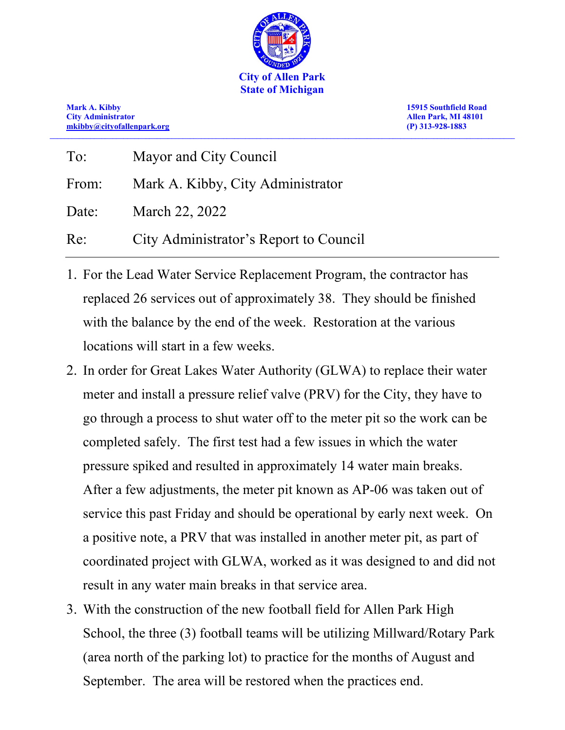

**Mark A. Kibby 15915 Southfield Road [mkibby@cityofallenpark.org](mailto:mkibby@cityofallenpark.org) (P) 313-928-1883 \_\_\_\_\_\_\_\_\_\_\_\_\_\_\_\_\_\_\_\_\_\_\_\_\_\_\_\_\_\_\_\_\_\_\_\_\_\_\_\_\_\_\_\_\_\_\_\_\_\_\_\_\_\_\_\_\_\_\_\_\_\_\_\_\_\_\_\_\_\_\_\_\_\_\_\_\_\_\_\_\_\_\_\_\_\_\_\_\_\_\_\_\_\_\_\_\_\_\_\_\_\_\_\_\_\_\_\_\_\_\_\_\_\_\_\_\_\_\_\_\_\_\_\_\_\_**

**City Administrator Allen Park, MI 48101**

| To:   | Mayor and City Council                 |
|-------|----------------------------------------|
| From: | Mark A. Kibby, City Administrator      |
| Date: | March 22, 2022                         |
| Re:   | City Administrator's Report to Council |

- 1. For the Lead Water Service Replacement Program, the contractor has replaced 26 services out of approximately 38. They should be finished with the balance by the end of the week. Restoration at the various locations will start in a few weeks.
- 2. In order for Great Lakes Water Authority (GLWA) to replace their water meter and install a pressure relief valve (PRV) for the City, they have to go through a process to shut water off to the meter pit so the work can be completed safely. The first test had a few issues in which the water pressure spiked and resulted in approximately 14 water main breaks. After a few adjustments, the meter pit known as AP-06 was taken out of service this past Friday and should be operational by early next week. On a positive note, a PRV that was installed in another meter pit, as part of coordinated project with GLWA, worked as it was designed to and did not result in any water main breaks in that service area.
- 3. With the construction of the new football field for Allen Park High School, the three (3) football teams will be utilizing Millward/Rotary Park (area north of the parking lot) to practice for the months of August and September. The area will be restored when the practices end.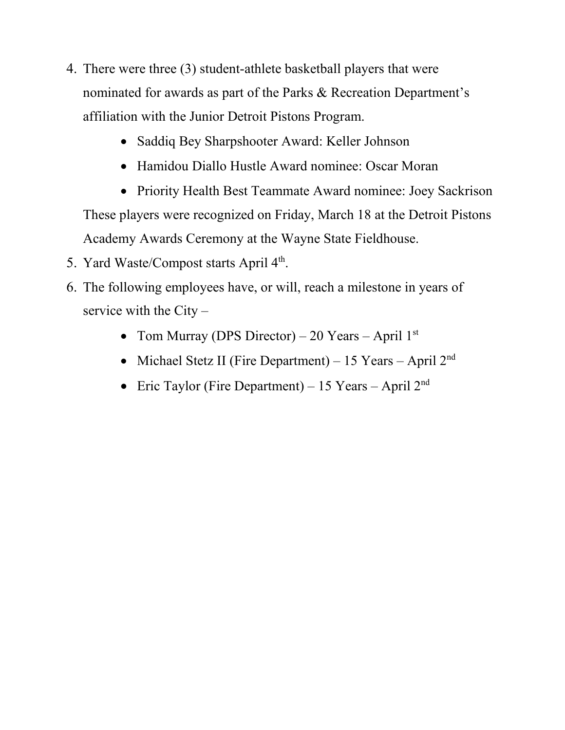- 4. There were three (3) student-athlete basketball players that were nominated for awards as part of the Parks & Recreation Department's affiliation with the Junior Detroit Pistons Program.
	- Saddiq Bey Sharpshooter Award: Keller Johnson
	- Hamidou Diallo Hustle Award nominee: Oscar Moran
	- Priority Health Best Teammate Award nominee: Joey Sackrison These players were recognized on Friday, March 18 at the Detroit Pistons Academy Awards Ceremony at the Wayne State Fieldhouse.
- 5. Yard Waste/Compost starts April  $4<sup>th</sup>$ .
- 6. The following employees have, or will, reach a milestone in years of service with the City –
	- Tom Murray (DPS Director) 20 Years April  $1<sup>st</sup>$
	- Michael Stetz II (Fire Department) 15 Years April  $2<sup>nd</sup>$
	- Eric Taylor (Fire Department) 15 Years April  $2<sup>nd</sup>$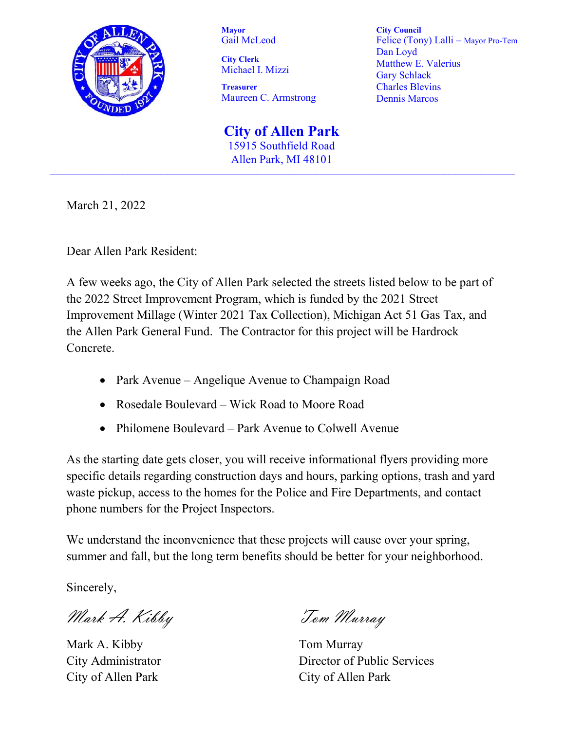

**Mayor** Gail McLeod

**City Clerk**  Michael I. Mizzi

**Treasurer** Maureen C. Armstrong **City Council** Felice (Tony) Lalli – Mayor Pro-Tem Dan Loyd Matthew E. Valerius Gary Schlack Charles Blevins Dennis Marcos

**City of Allen Park** 15915 Southfield Road Allen Park, MI 48101

March 21, 2022

Dear Allen Park Resident:

A few weeks ago, the City of Allen Park selected the streets listed below to be part of the 2022 Street Improvement Program, which is funded by the 2021 Street Improvement Millage (Winter 2021 Tax Collection), Michigan Act 51 Gas Tax, and the Allen Park General Fund. The Contractor for this project will be Hardrock Concrete.

- Park Avenue Angelique Avenue to Champaign Road
- Rosedale Boulevard Wick Road to Moore Road
- Philomene Boulevard Park Avenue to Colwell Avenue

As the starting date gets closer, you will receive informational flyers providing more specific details regarding construction days and hours, parking options, trash and yard waste pickup, access to the homes for the Police and Fire Departments, and contact phone numbers for the Project Inspectors.

We understand the inconvenience that these projects will cause over your spring, summer and fall, but the long term benefits should be better for your neighborhood.

Sincerely,

Mark A. Kibby Tom Murray

Mark A. Kibby Tom Murray City of Allen Park City of Allen Park

City Administrator Director of Public Services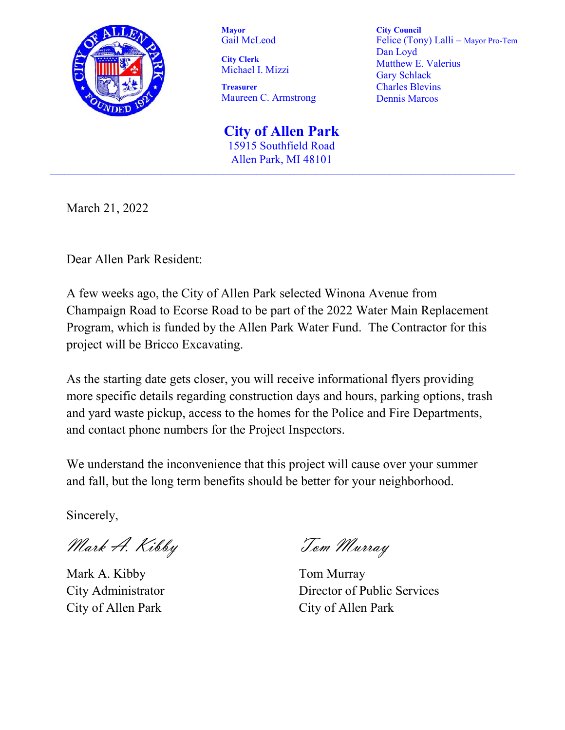

**Mayor** Gail McLeod

**City Clerk**  Michael I. Mizzi

**Treasurer** Maureen C. Armstrong

**City Council** Felice (Tony) Lalli – Mayor Pro-Tem Dan Loyd Matthew E. Valerius Gary Schlack Charles Blevins Dennis Marcos

**City of Allen Park** 15915 Southfield Road Allen Park, MI 48101

March 21, 2022

Dear Allen Park Resident:

A few weeks ago, the City of Allen Park selected Winona Avenue from Champaign Road to Ecorse Road to be part of the 2022 Water Main Replacement Program, which is funded by the Allen Park Water Fund. The Contractor for this project will be Bricco Excavating.

As the starting date gets closer, you will receive informational flyers providing more specific details regarding construction days and hours, parking options, trash and yard waste pickup, access to the homes for the Police and Fire Departments, and contact phone numbers for the Project Inspectors.

We understand the inconvenience that this project will cause over your summer and fall, but the long term benefits should be better for your neighborhood.

Sincerely,

Mark A. Kibby Tom Murray

Mark A. Kibby Tom Murray City of Allen Park City of Allen Park

City Administrator Director of Public Services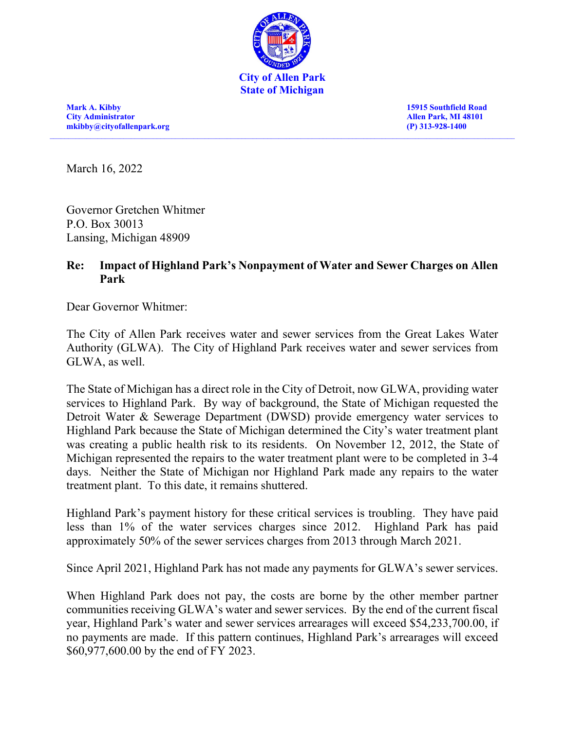

**Mark A. Kibby 15915 Southfield Road City Administrator Allen Park, MI 48101 [mkibby@cityofallenpark.org](mailto:mkibby@cityofallenpark.org) (P) 313-928-1400**

March 16, 2022

Governor Gretchen Whitmer P.O. Box 30013 Lansing, Michigan 48909

#### **Re: Impact of Highland Park's Nonpayment of Water and Sewer Charges on Allen Park**

Dear Governor Whitmer:

The City of Allen Park receives water and sewer services from the Great Lakes Water Authority (GLWA). The City of Highland Park receives water and sewer services from GLWA, as well.

The State of Michigan has a direct role in the City of Detroit, now GLWA, providing water services to Highland Park. By way of background, the State of Michigan requested the Detroit Water & Sewerage Department (DWSD) provide emergency water services to Highland Park because the State of Michigan determined the City's water treatment plant was creating a public health risk to its residents. On November 12, 2012, the State of Michigan represented the repairs to the water treatment plant were to be completed in 3-4 days. Neither the State of Michigan nor Highland Park made any repairs to the water treatment plant. To this date, it remains shuttered.

Highland Park's payment history for these critical services is troubling. They have paid less than 1% of the water services charges since 2012. Highland Park has paid approximately 50% of the sewer services charges from 2013 through March 2021.

Since April 2021, Highland Park has not made any payments for GLWA's sewer services.

When Highland Park does not pay, the costs are borne by the other member partner communities receiving GLWA's water and sewer services. By the end of the current fiscal year, Highland Park's water and sewer services arrearages will exceed \$54,233,700.00, if no payments are made. If this pattern continues, Highland Park's arrearages will exceed \$60,977,600.00 by the end of FY 2023.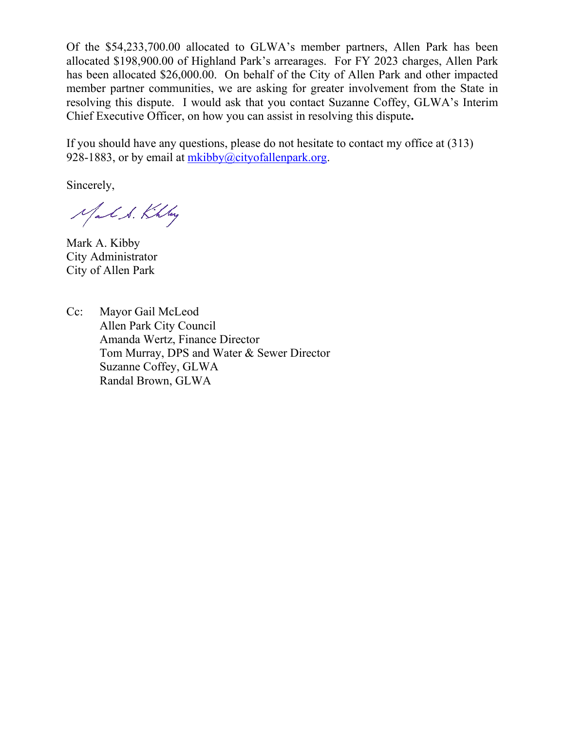Of the \$54,233,700.00 allocated to GLWA's member partners, Allen Park has been allocated \$198,900.00 of Highland Park's arrearages. For FY 2023 charges, Allen Park has been allocated \$26,000.00. On behalf of the City of Allen Park and other impacted member partner communities, we are asking for greater involvement from the State in resolving this dispute. I would ask that you contact Suzanne Coffey, GLWA's Interim Chief Executive Officer, on how you can assist in resolving this dispute**.**

If you should have any questions, please do not hesitate to contact my office at (313) 928-1883, or by email at  $m kibby@cityofallenpark.org.$ 

Sincerely,

Mal S. Khlay

Mark A. Kibby City Administrator City of Allen Park

Cc: Mayor Gail McLeod Allen Park City Council Amanda Wertz, Finance Director Tom Murray, DPS and Water & Sewer Director Suzanne Coffey, GLWA Randal Brown, GLWA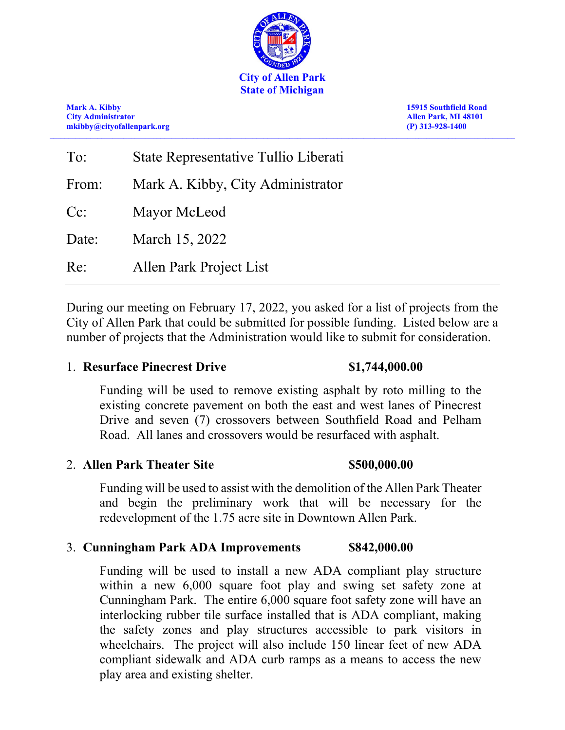

**Mark A. Kibby 15915 Southfield Road City Administrator Allen Park, MI 48101 [mkibby@cityofallenpark.org](mailto:mkibby@cityofallenpark.org) (P) 313-928-1400**

| To:    | State Representative Tullio Liberati |
|--------|--------------------------------------|
| From:  | Mark A. Kibby, City Administrator    |
| $Cc$ : | Mayor McLeod                         |
| Date:  | March 15, 2022                       |
| Re:    | Allen Park Project List              |

During our meeting on February 17, 2022, you asked for a list of projects from the City of Allen Park that could be submitted for possible funding. Listed below are a number of projects that the Administration would like to submit for consideration.

## 1. **Resurface Pinecrest Drive \$1,744,000.00**

Funding will be used to remove existing asphalt by roto milling to the existing concrete pavement on both the east and west lanes of Pinecrest Drive and seven (7) crossovers between Southfield Road and Pelham Road. All lanes and crossovers would be resurfaced with asphalt.

## 2. **Allen Park Theater Site \$500,000.00**

Funding will be used to assist with the demolition of the Allen Park Theater and begin the preliminary work that will be necessary for the redevelopment of the 1.75 acre site in Downtown Allen Park.

## 3. **Cunningham Park ADA Improvements \$842,000.00**

Funding will be used to install a new ADA compliant play structure within a new 6,000 square foot play and swing set safety zone at Cunningham Park. The entire 6,000 square foot safety zone will have an interlocking rubber tile surface installed that is ADA compliant, making the safety zones and play structures accessible to park visitors in wheelchairs. The project will also include 150 linear feet of new ADA compliant sidewalk and ADA curb ramps as a means to access the new play area and existing shelter.